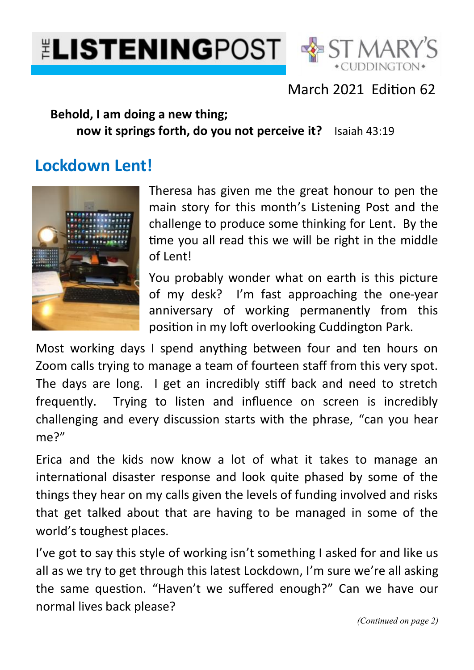



March 2021 Edition 62

### **Behold, I am doing a new thing; now it springs forth, do you not perceive it?** Isaiah 43:19

# **Lockdown Lent!**



Theresa has given me the great honour to pen the main story for this month's Listening Post and the challenge to produce some thinking for Lent. By the time you all read this we will be right in the middle of Lent!

You probably wonder what on earth is this picture of my desk? I'm fast approaching the one-year anniversary of working permanently from this position in my loft overlooking Cuddington Park.

Most working days I spend anything between four and ten hours on Zoom calls trying to manage a team of fourteen staff from this very spot. The days are long. I get an incredibly stiff back and need to stretch frequently. Trying to listen and influence on screen is incredibly challenging and every discussion starts with the phrase, "can you hear me?"

Erica and the kids now know a lot of what it takes to manage an international disaster response and look quite phased by some of the things they hear on my calls given the levels of funding involved and risks that get talked about that are having to be managed in some of the world's toughest places.

I've got to say this style of working isn't something I asked for and like us all as we try to get through this latest Lockdown, I'm sure we're all asking the same question. "Haven't we suffered enough?" Can we have our normal lives back please?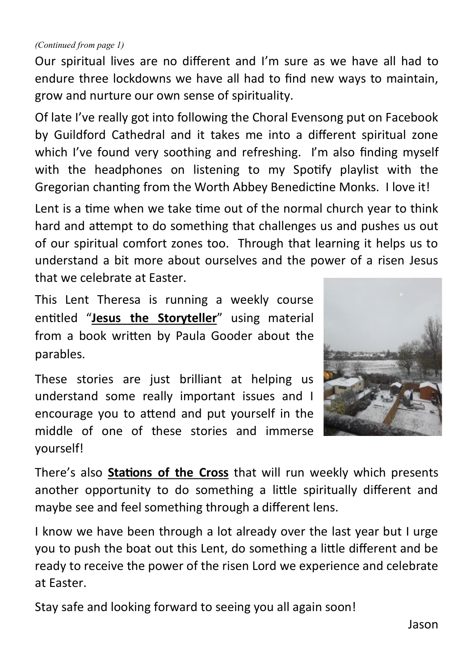#### *(Continued from page 1)*

Our spiritual lives are no different and I'm sure as we have all had to endure three lockdowns we have all had to find new ways to maintain, grow and nurture our own sense of spirituality.

Of late I've really got into following the Choral Evensong put on Facebook by Guildford Cathedral and it takes me into a different spiritual zone which I've found very soothing and refreshing. I'm also finding myself with the headphones on listening to my Spotify playlist with the Gregorian chanting from the Worth Abbey Benedictine Monks. I love it!

Lent is a time when we take time out of the normal church year to think hard and attempt to do something that challenges us and pushes us out of our spiritual comfort zones too. Through that learning it helps us to understand a bit more about ourselves and the power of a risen Jesus that we celebrate at Easter.

This Lent Theresa is running a weekly course entitled "**Jesus the Storyteller**" using material from a book written by Paula Gooder about the parables.

These stories are just brilliant at helping us understand some really important issues and I encourage you to attend and put yourself in the middle of one of these stories and immerse yourself!



There's also **Stations of the Cross** that will run weekly which presents another opportunity to do something a little spiritually different and maybe see and feel something through a different lens.

I know we have been through a lot already over the last year but I urge you to push the boat out this Lent, do something a little different and be ready to receive the power of the risen Lord we experience and celebrate at Easter.

Stay safe and looking forward to seeing you all again soon!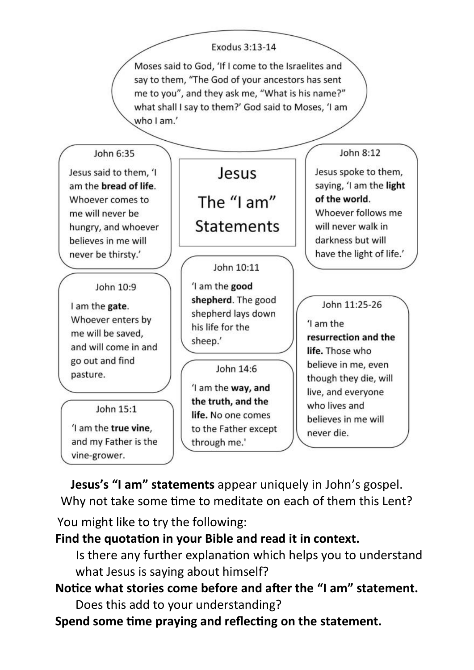

**Jesus's "I am" statements** appear uniquely in John's gospel. Why not take some time to meditate on each of them this Lent?

You might like to try the following:

#### **Find the quotation in your Bible and read it in context.**

Is there any further explanation which helps you to understand what Jesus is saying about himself?

# **Notice what stories come before and after the "I am" statement.**  Does this add to your understanding?

**Spend some time praying and reflecting on the statement.**